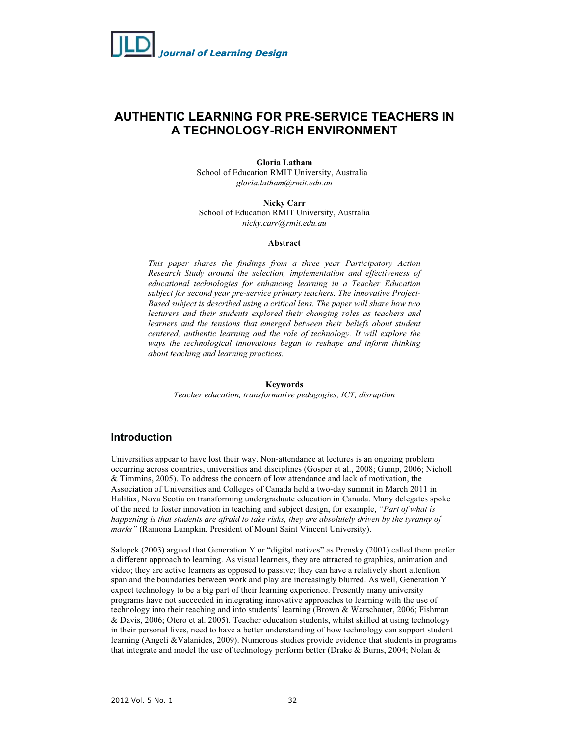

## **AUTHENTIC LEARNING FOR PRE-SERVICE TEACHERS IN A TECHNOLOGY-RICH ENVIRONMENT**

#### **Gloria Latham**

School of Education RMIT University, Australia *gloria.latham@rmit.edu.au* 

**Nicky Carr**  School of Education RMIT University, Australia *nicky.carr@rmit.edu.au* 

#### **Abstract**

*This paper shares the findings from a three year Participatory Action Research Study around the selection, implementation and effectiveness of educational technologies for enhancing learning in a Teacher Education subject for second year pre-service primary teachers. The innovative Project-Based subject is described using a critical lens. The paper will share how two lecturers and their students explored their changing roles as teachers and learners and the tensions that emerged between their beliefs about student centered, authentic learning and the role of technology. It will explore the ways the technological innovations began to reshape and inform thinking about teaching and learning practices.* 

#### **Keywords**

*Teacher education, transformative pedagogies, ICT, disruption* 

## **Introduction**

Universities appear to have lost their way. Non-attendance at lectures is an ongoing problem occurring across countries, universities and disciplines (Gosper et al., 2008; Gump, 2006; Nicholl & Timmins, 2005). To address the concern of low attendance and lack of motivation, the Association of Universities and Colleges of Canada held a two-day summit in March 2011 in Halifax, Nova Scotia on transforming undergraduate education in Canada. Many delegates spoke of the need to foster innovation in teaching and subject design, for example, *"Part of what is happening is that students are afraid to take risks, they are absolutely driven by the tyranny of marks"* (Ramona Lumpkin, President of Mount Saint Vincent University).

Salopek (2003) argued that Generation Y or "digital natives" as Prensky (2001) called them prefer a different approach to learning. As visual learners, they are attracted to graphics, animation and video; they are active learners as opposed to passive; they can have a relatively short attention span and the boundaries between work and play are increasingly blurred. As well, Generation Y expect technology to be a big part of their learning experience. Presently many university programs have not succeeded in integrating innovative approaches to learning with the use of technology into their teaching and into students' learning (Brown & Warschauer, 2006; Fishman & Davis, 2006; Otero et al. 2005). Teacher education students, whilst skilled at using technology in their personal lives, need to have a better understanding of how technology can support student learning (Angeli &Valanides, 2009). Numerous studies provide evidence that students in programs that integrate and model the use of technology perform better (Drake & Burns, 2004; Nolan &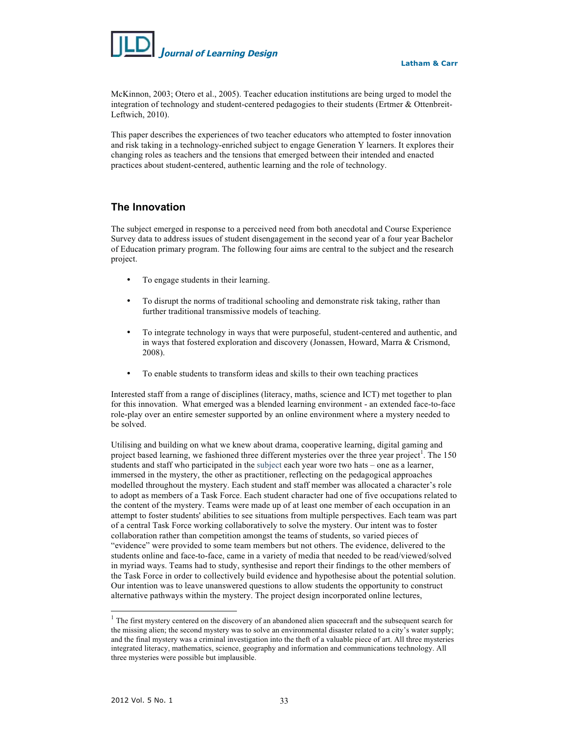

McKinnon, 2003; Otero et al., 2005). Teacher education institutions are being urged to model the integration of technology and student-centered pedagogies to their students (Ertmer & Ottenbreit-Leftwich, 2010).

This paper describes the experiences of two teacher educators who attempted to foster innovation and risk taking in a technology-enriched subject to engage Generation Y learners. It explores their changing roles as teachers and the tensions that emerged between their intended and enacted practices about student-centered, authentic learning and the role of technology.

## **The Innovation**

The subject emerged in response to a perceived need from both anecdotal and Course Experience Survey data to address issues of student disengagement in the second year of a four year Bachelor of Education primary program. The following four aims are central to the subject and the research project.

- To engage students in their learning.
- To disrupt the norms of traditional schooling and demonstrate risk taking, rather than further traditional transmissive models of teaching.
- To integrate technology in ways that were purposeful, student-centered and authentic, and in ways that fostered exploration and discovery (Jonassen, Howard, Marra & Crismond, 2008).
- To enable students to transform ideas and skills to their own teaching practices

Interested staff from a range of disciplines (literacy, maths, science and ICT) met together to plan for this innovation. What emerged was a blended learning environment - an extended face-to-face role-play over an entire semester supported by an online environment where a mystery needed to be solved.

Utilising and building on what we knew about drama, cooperative learning, digital gaming and project based learning, we fashioned three different mysteries over the three year project<sup>1</sup>. The 150 students and staff who participated in the subject each year wore two hats – one as a learner, immersed in the mystery, the other as practitioner, reflecting on the pedagogical approaches modelled throughout the mystery. Each student and staff member was allocated a character's role to adopt as members of a Task Force. Each student character had one of five occupations related to the content of the mystery. Teams were made up of at least one member of each occupation in an attempt to foster students' abilities to see situations from multiple perspectives. Each team was part of a central Task Force working collaboratively to solve the mystery. Our intent was to foster collaboration rather than competition amongst the teams of students, so varied pieces of "evidence" were provided to some team members but not others. The evidence, delivered to the students online and face-to-face, came in a variety of media that needed to be read/viewed/solved in myriad ways. Teams had to study, synthesise and report their findings to the other members of the Task Force in order to collectively build evidence and hypothesise about the potential solution. Our intention was to leave unanswered questions to allow students the opportunity to construct alternative pathways within the mystery. The project design incorporated online lectures,

 $\overline{\phantom{0}}$ 

<sup>&</sup>lt;sup>1</sup> The first mystery centered on the discovery of an abandoned alien spacecraft and the subsequent search for the missing alien; the second mystery was to solve an environmental disaster related to a city's water supply; and the final mystery was a criminal investigation into the theft of a valuable piece of art. All three mysteries integrated literacy, mathematics, science, geography and information and communications technology. All three mysteries were possible but implausible.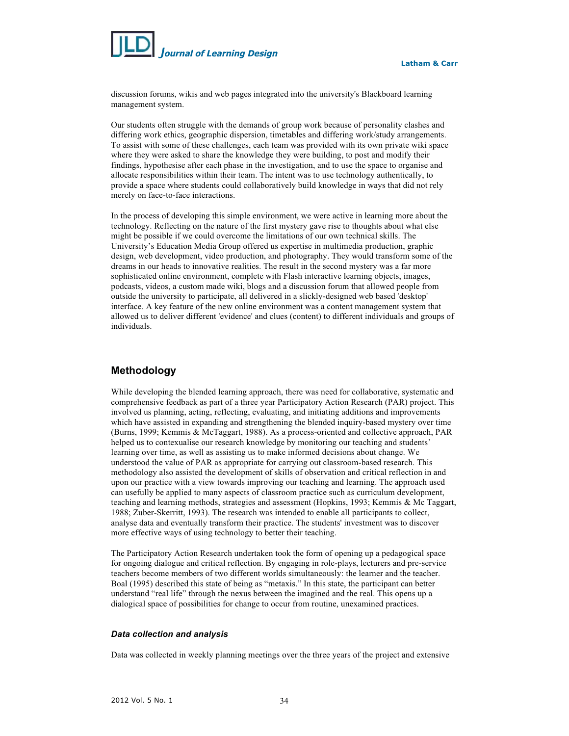

discussion forums, wikis and web pages integrated into the university's Blackboard learning management system.

Our students often struggle with the demands of group work because of personality clashes and differing work ethics, geographic dispersion, timetables and differing work/study arrangements. To assist with some of these challenges, each team was provided with its own private wiki space where they were asked to share the knowledge they were building, to post and modify their findings, hypothesise after each phase in the investigation, and to use the space to organise and allocate responsibilities within their team. The intent was to use technology authentically, to provide a space where students could collaboratively build knowledge in ways that did not rely merely on face-to-face interactions.

In the process of developing this simple environment, we were active in learning more about the technology. Reflecting on the nature of the first mystery gave rise to thoughts about what else might be possible if we could overcome the limitations of our own technical skills. The University's Education Media Group offered us expertise in multimedia production, graphic design, web development, video production, and photography. They would transform some of the dreams in our heads to innovative realities. The result in the second mystery was a far more sophisticated online environment, complete with Flash interactive learning objects, images, podcasts, videos, a custom made wiki, blogs and a discussion forum that allowed people from outside the university to participate, all delivered in a slickly-designed web based 'desktop' interface. A key feature of the new online environment was a content management system that allowed us to deliver different 'evidence' and clues (content) to different individuals and groups of individuals.

## **Methodology**

While developing the blended learning approach, there was need for collaborative, systematic and comprehensive feedback as part of a three year Participatory Action Research (PAR) project. This involved us planning, acting, reflecting, evaluating, and initiating additions and improvements which have assisted in expanding and strengthening the blended inquiry-based mystery over time (Burns, 1999; Kemmis & McTaggart, 1988). As a process-oriented and collective approach, PAR helped us to contexualise our research knowledge by monitoring our teaching and students' learning over time, as well as assisting us to make informed decisions about change. We understood the value of PAR as appropriate for carrying out classroom-based research. This methodology also assisted the development of skills of observation and critical reflection in and upon our practice with a view towards improving our teaching and learning. The approach used can usefully be applied to many aspects of classroom practice such as curriculum development, teaching and learning methods, strategies and assessment (Hopkins, 1993; Kemmis & Mc Taggart, 1988; Zuber-Skerritt, 1993). The research was intended to enable all participants to collect, analyse data and eventually transform their practice. The students' investment was to discover more effective ways of using technology to better their teaching.

The Participatory Action Research undertaken took the form of opening up a pedagogical space for ongoing dialogue and critical reflection. By engaging in role-plays, lecturers and pre-service teachers become members of two different worlds simultaneously: the learner and the teacher. Boal (1995) described this state of being as "metaxis." In this state, the participant can better understand "real life" through the nexus between the imagined and the real. This opens up a dialogical space of possibilities for change to occur from routine, unexamined practices.

#### *Data collection and analysis*

Data was collected in weekly planning meetings over the three years of the project and extensive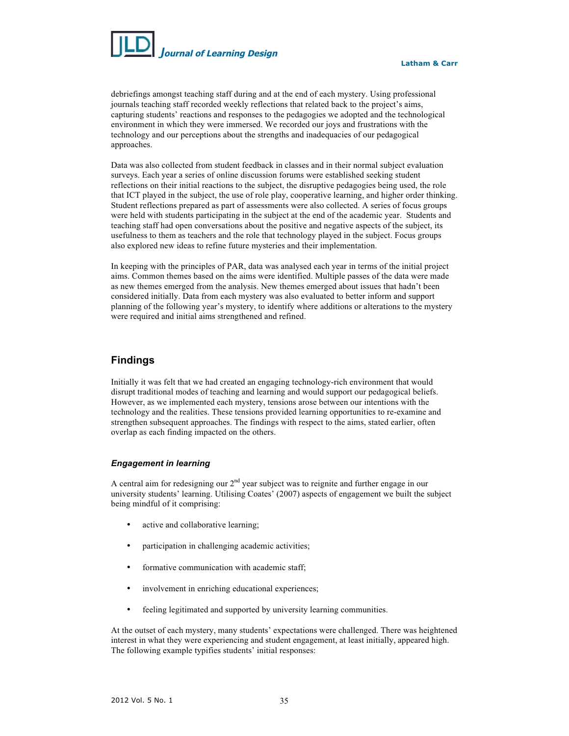

debriefings amongst teaching staff during and at the end of each mystery. Using professional journals teaching staff recorded weekly reflections that related back to the project's aims, capturing students' reactions and responses to the pedagogies we adopted and the technological environment in which they were immersed. We recorded our joys and frustrations with the technology and our perceptions about the strengths and inadequacies of our pedagogical approaches.

Data was also collected from student feedback in classes and in their normal subject evaluation surveys. Each year a series of online discussion forums were established seeking student reflections on their initial reactions to the subject, the disruptive pedagogies being used, the role that ICT played in the subject, the use of role play, cooperative learning, and higher order thinking. Student reflections prepared as part of assessments were also collected. A series of focus groups were held with students participating in the subject at the end of the academic year. Students and teaching staff had open conversations about the positive and negative aspects of the subject, its usefulness to them as teachers and the role that technology played in the subject. Focus groups also explored new ideas to refine future mysteries and their implementation.

In keeping with the principles of PAR, data was analysed each year in terms of the initial project aims. Common themes based on the aims were identified. Multiple passes of the data were made as new themes emerged from the analysis. New themes emerged about issues that hadn't been considered initially. Data from each mystery was also evaluated to better inform and support planning of the following year's mystery, to identify where additions or alterations to the mystery were required and initial aims strengthened and refined.

## **Findings**

Initially it was felt that we had created an engaging technology-rich environment that would disrupt traditional modes of teaching and learning and would support our pedagogical beliefs. However, as we implemented each mystery, tensions arose between our intentions with the technology and the realities. These tensions provided learning opportunities to re-examine and strengthen subsequent approaches. The findings with respect to the aims, stated earlier, often overlap as each finding impacted on the others.

#### *Engagement in learning*

A central aim for redesigning our  $2<sup>nd</sup>$  year subject was to reignite and further engage in our university students' learning. Utilising Coates' (2007) aspects of engagement we built the subject being mindful of it comprising:

- active and collaborative learning;
- participation in challenging academic activities;
- formative communication with academic staff;
- involvement in enriching educational experiences;
- feeling legitimated and supported by university learning communities.

At the outset of each mystery, many students' expectations were challenged. There was heightened interest in what they were experiencing and student engagement, at least initially, appeared high. The following example typifies students' initial responses: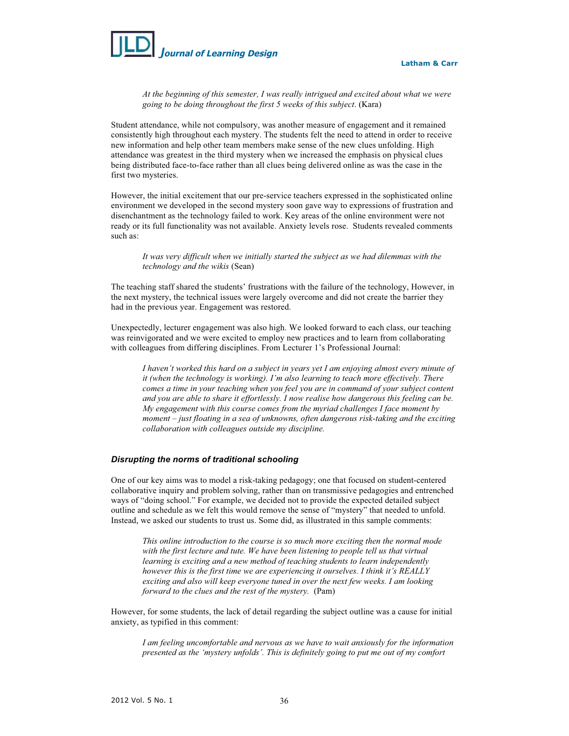

*At the beginning of this semester, I was really intrigued and excited about what we were going to be doing throughout the first 5 weeks of this subject*. (Kara)

Student attendance, while not compulsory, was another measure of engagement and it remained consistently high throughout each mystery. The students felt the need to attend in order to receive new information and help other team members make sense of the new clues unfolding. High attendance was greatest in the third mystery when we increased the emphasis on physical clues being distributed face-to-face rather than all clues being delivered online as was the case in the first two mysteries.

However, the initial excitement that our pre-service teachers expressed in the sophisticated online environment we developed in the second mystery soon gave way to expressions of frustration and disenchantment as the technology failed to work. Key areas of the online environment were not ready or its full functionality was not available. Anxiety levels rose. Students revealed comments such as:

*It was very difficult when we initially started the subject as we had dilemmas with the technology and the wikis* (Sean)

The teaching staff shared the students' frustrations with the failure of the technology, However, in the next mystery, the technical issues were largely overcome and did not create the barrier they had in the previous year. Engagement was restored.

Unexpectedly, lecturer engagement was also high. We looked forward to each class, our teaching was reinvigorated and we were excited to employ new practices and to learn from collaborating with colleagues from differing disciplines. From Lecturer 1's Professional Journal:

*I haven't worked this hard on a subject in years yet I am enjoying almost every minute of it (when the technology is working). I'm also learning to teach more effectively. There comes a time in your teaching when you feel you are in command of your subject content and you are able to share it effortlessly. I now realise how dangerous this feeling can be. My engagement with this course comes from the myriad challenges I face moment by moment – just floating in a sea of unknowns, often dangerous risk-taking and the exciting collaboration with colleagues outside my discipline.* 

#### *Disrupting the norms of traditional schooling*

One of our key aims was to model a risk-taking pedagogy; one that focused on student-centered collaborative inquiry and problem solving, rather than on transmissive pedagogies and entrenched ways of "doing school." For example, we decided not to provide the expected detailed subject outline and schedule as we felt this would remove the sense of "mystery" that needed to unfold. Instead, we asked our students to trust us. Some did, as illustrated in this sample comments:

*This online introduction to the course is so much more exciting then the normal mode with the first lecture and tute. We have been listening to people tell us that virtual learning is exciting and a new method of teaching students to learn independently however this is the first time we are experiencing it ourselves. I think it's REALLY exciting and also will keep everyone tuned in over the next few weeks. I am looking forward to the clues and the rest of the mystery.* (Pam)

However, for some students, the lack of detail regarding the subject outline was a cause for initial anxiety, as typified in this comment:

*I am feeling uncomfortable and nervous as we have to wait anxiously for the information presented as the 'mystery unfolds'. This is definitely going to put me out of my comfort*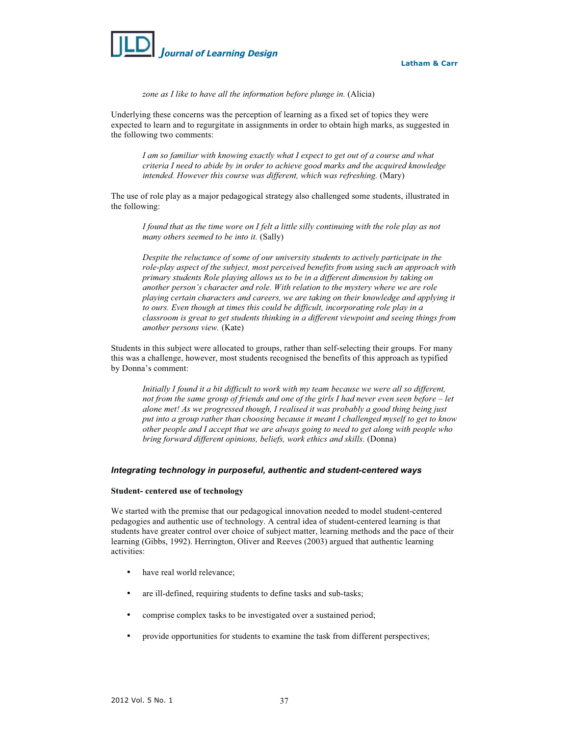

*zone as I like to have all the information before plunge in.* (Alicia)

Underlying these concerns was the perception of learning as a fixed set of topics they were expected to learn and to regurgitate in assignments in order to obtain high marks, as suggested in the following two comments:

*I am so familiar with knowing exactly what I expect to get out of a course and what criteria I need to abide by in order to achieve good marks and the acquired knowledge intended. However this course was different, which was refreshing.* (Mary)

The use of role play as a major pedagogical strategy also challenged some students, illustrated in the following:

*I found that as the time wore on I felt a little silly continuing with the role play as not many others seemed to be into it.* (Sally)

*Despite the reluctance of some of our university students to actively participate in the role-play aspect of the subject, most perceived benefits from using such an approach with primary students Role playing allows us to be in a different dimension by taking on another person's character and role. With relation to the mystery where we are role playing certain characters and careers, we are taking on their knowledge and applying it to ours. Even though at times this could be difficult, incorporating role play in a classroom is great to get students thinking in a different viewpoint and seeing things from another persons view.* (Kate)

Students in this subject were allocated to groups, rather than self-selecting their groups. For many this was a challenge, however, most students recognised the benefits of this approach as typified by Donna's comment:

*Initially I found it a bit difficult to work with my team because we were all so different, not from the same group of friends and one of the girls I had never even seen before – let alone met! As we progressed though, I realised it was probably a good thing being just put into a group rather than choosing because it meant I challenged myself to get to know other people and I accept that we are always going to need to get along with people who bring forward different opinions, beliefs, work ethics and skills.* (Donna)

#### *Integrating technology in purposeful, authentic and student-centered ways*

#### **Student- centered use of technology**

We started with the premise that our pedagogical innovation needed to model student-centered pedagogies and authentic use of technology. A central idea of student-centered learning is that students have greater control over choice of subject matter, learning methods and the pace of their learning (Gibbs, 1992). Herrington, Oliver and Reeves (2003) argued that authentic learning activities:

- have real world relevance;
- are ill-defined, requiring students to define tasks and sub-tasks;
- comprise complex tasks to be investigated over a sustained period;
- provide opportunities for students to examine the task from different perspectives;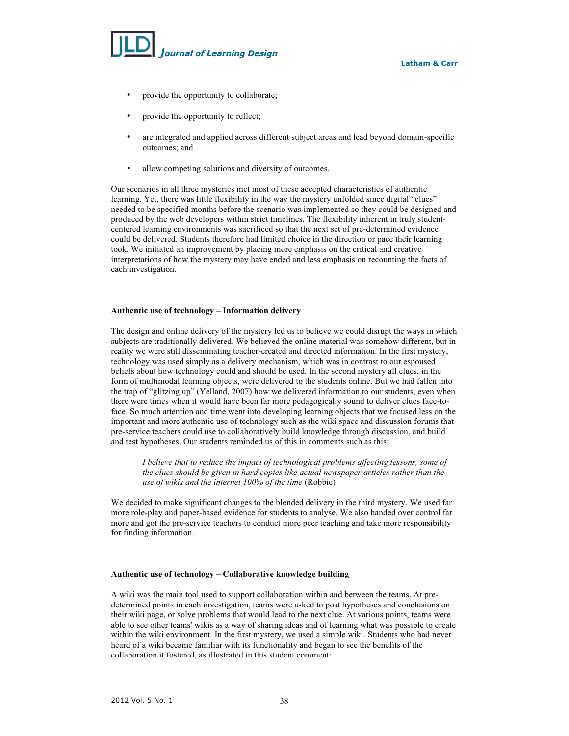

- provide the opportunity to collaborate;
- provide the opportunity to reflect;
- are integrated and applied across different subject areas and lead beyond domain-specific outcomes; and
- allow competing solutions and diversity of outcomes.

Our scenarios in all three mysteries met most of these accepted characteristics of authentic learning. Yet, there was little flexibility in the way the mystery unfolded since digital "clues" needed to be specified months before the scenario was implemented so they could be designed and produced by the web developers within strict timelines. The flexibility inherent in truly studentcentered learning environments was sacrificed so that the next set of pre-determined evidence could be delivered. Students therefore had limited choice in the direction or pace their learning took. We initiated an improvement by placing more emphasis on the critical and creative interpretations of how the mystery may have ended and less emphasis on recounting the facts of each investigation.

#### **Authentic use of technology – Information delivery**

The design and online delivery of the mystery led us to believe we could disrupt the ways in which subjects are traditionally delivered. We believed the online material was somehow different, but in reality we were still disseminating teacher-created and directed information. In the first mystery, technology was used simply as a delivery mechanism, which was in contrast to our espoused beliefs about how technology could and should be used. In the second mystery all clues, in the form of multimodal learning objects, were delivered to the students online. But we had fallen into the trap of "glitzing up" (Yelland, 2007) how we delivered information to our students, even when there were times when it would have been far more pedagogically sound to deliver clues face-toface. So much attention and time went into developing learning objects that we focused less on the important and more authentic use of technology such as the wiki space and discussion forums that pre-service teachers could use to collaboratively build knowledge through discussion, and build and test hypotheses. Our students reminded us of this in comments such as this:

*I believe that to reduce the impact of technological problems affecting lessons, some of the clues should be given in hard copies like actual newspaper articles rather than the use of wikis and the internet 100% of the time* (Robbie)

We decided to make significant changes to the blended delivery in the third mystery. We used far more role-play and paper-based evidence for students to analyse. We also handed over control far more and got the pre-service teachers to conduct more peer teaching and take more responsibility for finding information.

#### **Authentic use of technology – Collaborative knowledge building**

A wiki was the main tool used to support collaboration within and between the teams. At predetermined points in each investigation, teams were asked to post hypotheses and conclusions on their wiki page, or solve problems that would lead to the next clue. At various points, teams were able to see other teams' wikis as a way of sharing ideas and of learning what was possible to create within the wiki environment. In the first mystery, we used a simple wiki. Students who had never heard of a wiki became familiar with its functionality and began to see the benefits of the collaboration it fostered, as illustrated in this student comment: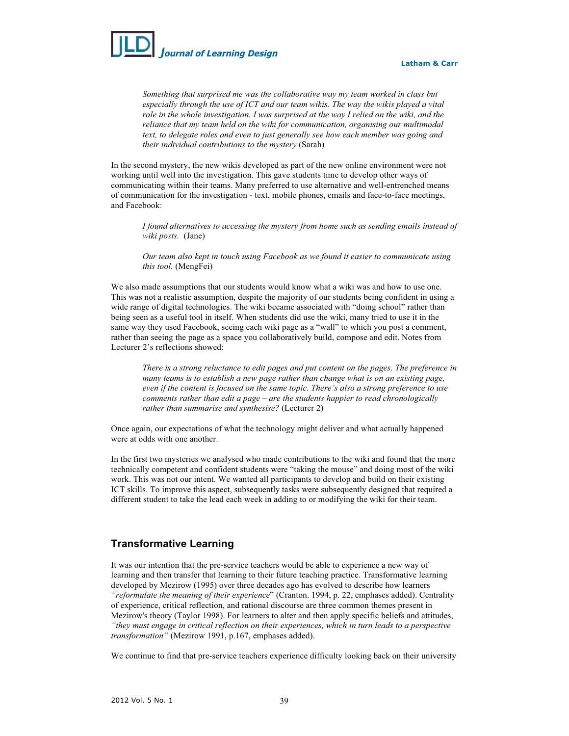

*Something that surprised me was the collaborative way my team worked in class but especially through the use of ICT and our team wikis. The way the wikis played a vital role in the whole investigation. I was surprised at the way I relied on the wiki, and the reliance that my team held on the wiki for communication, organising our multimodal text, to delegate roles and even to just generally see how each member was going and their individual contributions to the mystery* (Sarah)

In the second mystery, the new wikis developed as part of the new online environment were not working until well into the investigation. This gave students time to develop other ways of communicating within their teams. Many preferred to use alternative and well-entrenched means of communication for the investigation - text, mobile phones, emails and face-to-face meetings, and Facebook:

*I found alternatives to accessing the mystery from home such as sending emails instead of wiki posts.* (Jane)

*Our team also kept in touch using Facebook as we found it easier to communicate using this tool.* (MengFei)

We also made assumptions that our students would know what a wiki was and how to use one. This was not a realistic assumption, despite the majority of our students being confident in using a wide range of digital technologies. The wiki became associated with "doing school" rather than being seen as a useful tool in itself. When students did use the wiki, many tried to use it in the same way they used Facebook, seeing each wiki page as a "wall" to which you post a comment, rather than seeing the page as a space you collaboratively build, compose and edit. Notes from Lecturer 2's reflections showed:

*There is a strong reluctance to edit pages and put content on the pages. The preference in many teams is to establish a new page rather than change what is on an existing page, even if the content is focused on the same topic. There's also a strong preference to use comments rather than edit a page – are the students happier to read chronologically rather than summarise and synthesise?* (Lecturer 2)

Once again, our expectations of what the technology might deliver and what actually happened were at odds with one another.

In the first two mysteries we analysed who made contributions to the wiki and found that the more technically competent and confident students were "taking the mouse" and doing most of the wiki work. This was not our intent. We wanted all participants to develop and build on their existing ICT skills. To improve this aspect, subsequently tasks were subsequently designed that required a different student to take the lead each week in adding to or modifying the wiki for their team.

### **Transformative Learning**

It was our intention that the pre-service teachers would be able to experience a new way of learning and then transfer that learning to their future teaching practice. Transformative learning developed by Mezirow (1995) over three decades ago has evolved to describe how learners *"reformulate the meaning of their experience*" (Cranton. 1994, p. 22, emphases added). Centrality of experience, critical reflection, and rational discourse are three common themes present in Mezirow's theory (Taylor 1998). For learners to alter and then apply specific beliefs and attitudes, *"they must engage in critical reflection on their experiences, which in turn leads to a perspective transformation"* (Mezirow 1991, p.167, emphases added).

We continue to find that pre-service teachers experience difficulty looking back on their university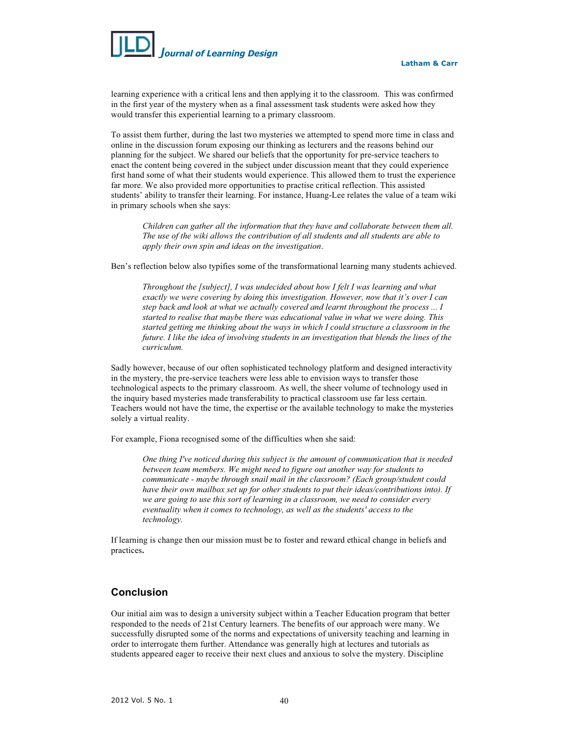

learning experience with a critical lens and then applying it to the classroom. This was confirmed in the first year of the mystery when as a final assessment task students were asked how they would transfer this experiential learning to a primary classroom.

To assist them further, during the last two mysteries we attempted to spend more time in class and online in the discussion forum exposing our thinking as lecturers and the reasons behind our planning for the subject. We shared our beliefs that the opportunity for pre-service teachers to enact the content being covered in the subject under discussion meant that they could experience first hand some of what their students would experience. This allowed them to trust the experience far more. We also provided more opportunities to practise critical reflection. This assisted students' ability to transfer their learning. For instance, Huang-Lee relates the value of a team wiki in primary schools when she says:

*Children can gather all the information that they have and collaborate between them all. The use of the wiki allows the contribution of all students and all students are able to apply their own spin and ideas on the investigation*.

Ben's reflection below also typifies some of the transformational learning many students achieved.

*Throughout the [subject], I was undecided about how I felt I was learning and what exactly we were covering by doing this investigation. However, now that it's over I can step back and look at what we actually covered and learnt throughout the process ... I started to realise that maybe there was educational value in what we were doing. This started getting me thinking about the ways in which I could structure a classroom in the*  future. I like the idea of involving students in an investigation that blends the lines of the *curriculum.* 

Sadly however, because of our often sophisticated technology platform and designed interactivity in the mystery, the pre-service teachers were less able to envision ways to transfer those technological aspects to the primary classroom. As well, the sheer volume of technology used in the inquiry based mysteries made transferability to practical classroom use far less certain. Teachers would not have the time, the expertise or the available technology to make the mysteries solely a virtual reality.

For example, Fiona recognised some of the difficulties when she said:

*One thing I've noticed during this subject is the amount of communication that is needed between team members. We might need to figure out another way for students to communicate - maybe through snail mail in the classroom? (Each group/student could have their own mailbox set up for other students to put their ideas/contributions into). If we are going to use this sort of learning in a classroom, we need to consider every eventuality when it comes to technology, as well as the students' access to the technology.*

If learning is change then our mission must be to foster and reward ethical change in beliefs and practices**.** 

## **Conclusion**

Our initial aim was to design a university subject within a Teacher Education program that better responded to the needs of 21st Century learners. The benefits of our approach were many. We successfully disrupted some of the norms and expectations of university teaching and learning in order to interrogate them further. Attendance was generally high at lectures and tutorials as students appeared eager to receive their next clues and anxious to solve the mystery. Discipline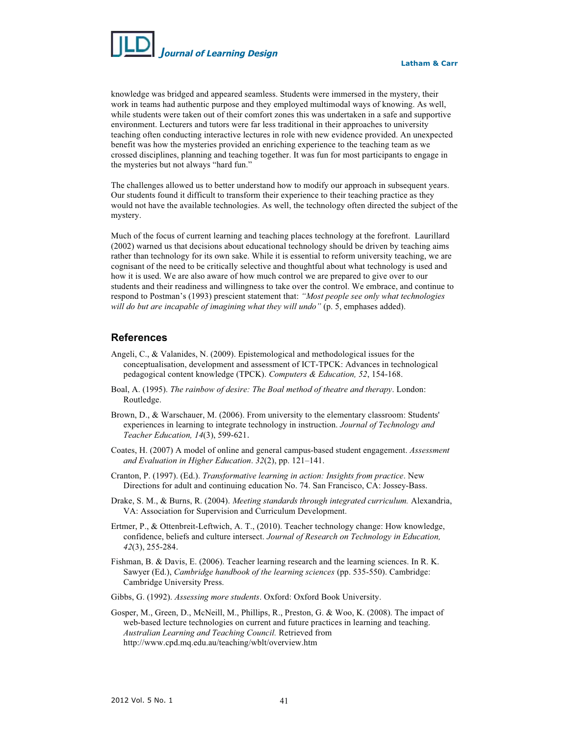

knowledge was bridged and appeared seamless. Students were immersed in the mystery, their work in teams had authentic purpose and they employed multimodal ways of knowing. As well, while students were taken out of their comfort zones this was undertaken in a safe and supportive environment. Lecturers and tutors were far less traditional in their approaches to university teaching often conducting interactive lectures in role with new evidence provided. An unexpected benefit was how the mysteries provided an enriching experience to the teaching team as we crossed disciplines, planning and teaching together. It was fun for most participants to engage in the mysteries but not always "hard fun."

The challenges allowed us to better understand how to modify our approach in subsequent years. Our students found it difficult to transform their experience to their teaching practice as they would not have the available technologies. As well, the technology often directed the subject of the mystery.

Much of the focus of current learning and teaching places technology at the forefront. Laurillard (2002) warned us that decisions about educational technology should be driven by teaching aims rather than technology for its own sake. While it is essential to reform university teaching, we are cognisant of the need to be critically selective and thoughtful about what technology is used and how it is used. We are also aware of how much control we are prepared to give over to our students and their readiness and willingness to take over the control. We embrace, and continue to respond to Postman's (1993) prescient statement that: *"Most people see only what technologies*  will do but are incapable of imagining what they will undo" (p. 5, emphases added).

## **References**

- Angeli, C., & Valanides, N. (2009). Epistemological and methodological issues for the conceptualisation, development and assessment of ICT-TPCK: Advances in technological pedagogical content knowledge (TPCK). *Computers & Education, 52*, 154-168.
- Boal, A. (1995). *The rainbow of desire: The Boal method of theatre and therapy*. London: Routledge.
- Brown, D., & Warschauer, M. (2006). From university to the elementary classroom: Students' experiences in learning to integrate technology in instruction. *Journal of Technology and Teacher Education, 14*(3), 599-621.
- Coates, H. (2007) A model of online and general campus-based student engagement. *Assessment and Evaluation in Higher Education*. *32*(2), pp. 121–141.
- Cranton, P. (1997). (Ed.). *Transformative learning in action: Insights from practice*. New Directions for adult and continuing education No. 74. San Francisco, CA: Jossey-Bass.
- Drake, S. M., & Burns, R. (2004). *Meeting standards through integrated curriculum.* Alexandria, VA: Association for Supervision and Curriculum Development.
- Ertmer, P., & Ottenbreit-Leftwich, A. T., (2010). Teacher technology change: How knowledge, confidence, beliefs and culture intersect. *Journal of Research on Technology in Education, 42*(3), 255-284.
- Fishman, B. & Davis, E. (2006). Teacher learning research and the learning sciences. In R. K. Sawyer (Ed.), *Cambridge handbook of the learning sciences* (pp. 535-550). Cambridge: Cambridge University Press.
- Gibbs, G. (1992). *Assessing more students*. Oxford: Oxford Book University.
- Gosper, M., Green, D., McNeill, M., Phillips, R., Preston, G. & Woo, K. (2008). The impact of web-based lecture technologies on current and future practices in learning and teaching. *Australian Learning and Teaching Council.* Retrieved from http://www.cpd.mq.edu.au/teaching/wblt/overview.htm